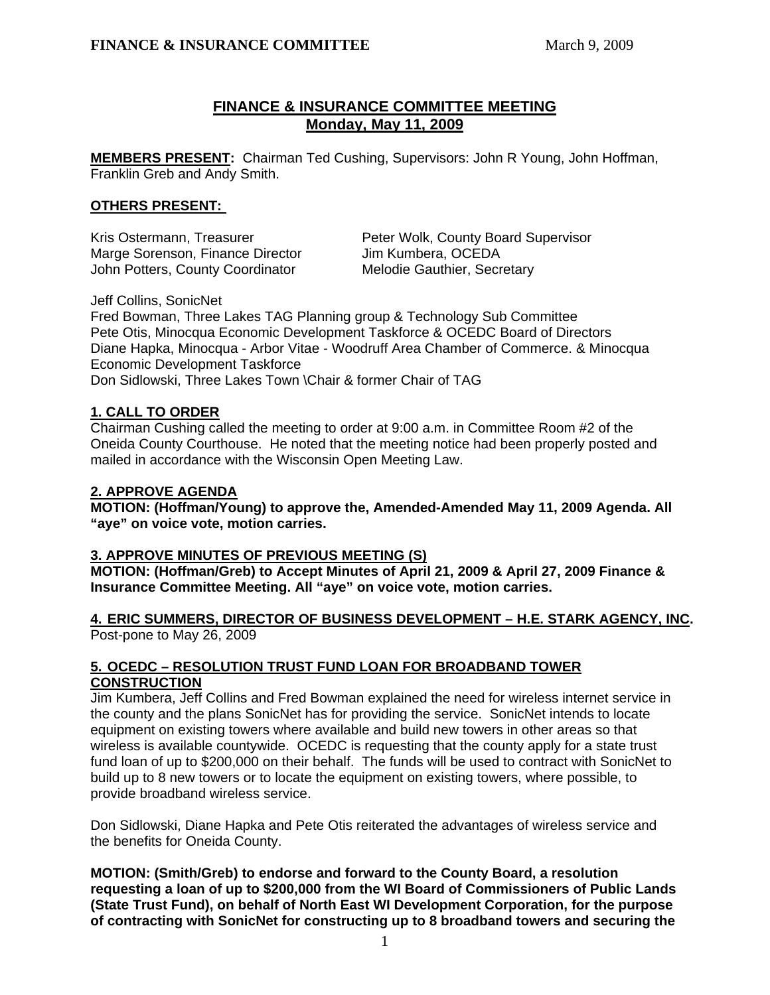# **FINANCE & INSURANCE COMMITTEE MEETING Monday, May 11, 2009**

**MEMBERS PRESENT:** Chairman Ted Cushing, Supervisors: John R Young, John Hoffman, Franklin Greb and Andy Smith.

## **OTHERS PRESENT:**

Marge Sorenson, Finance Director Jim Kumbera, OCEDA John Potters, County Coordinator Melodie Gauthier, Secretary

Kris Ostermann, Treasurer **Peter Wolk, County Board Supervisor** 

Jeff Collins, SonicNet

Fred Bowman, Three Lakes TAG Planning group & Technology Sub Committee Pete Otis, Minocqua Economic Development Taskforce & OCEDC Board of Directors Diane Hapka, Minocqua - Arbor Vitae - Woodruff Area Chamber of Commerce. & Minocqua Economic Development Taskforce Don Sidlowski, Three Lakes Town \Chair & former Chair of TAG

## **1. CALL TO ORDER**

Chairman Cushing called the meeting to order at 9:00 a.m. in Committee Room #2 of the Oneida County Courthouse. He noted that the meeting notice had been properly posted and mailed in accordance with the Wisconsin Open Meeting Law.

## **2. APPROVE AGENDA**

**MOTION: (Hoffman/Young) to approve the, Amended-Amended May 11, 2009 Agenda. All "aye" on voice vote, motion carries.** 

# **3. APPROVE MINUTES OF PREVIOUS MEETING (S)**

**MOTION: (Hoffman/Greb) to Accept Minutes of April 21, 2009 & April 27, 2009 Finance & Insurance Committee Meeting. All "aye" on voice vote, motion carries.** 

## **4. ERIC SUMMERS, DIRECTOR OF BUSINESS DEVELOPMENT – H.E. STARK AGENCY, INC.** Post-pone to May 26, 2009

# **5. OCEDC – RESOLUTION TRUST FUND LOAN FOR BROADBAND TOWER CONSTRUCTION**

Jim Kumbera, Jeff Collins and Fred Bowman explained the need for wireless internet service in the county and the plans SonicNet has for providing the service. SonicNet intends to locate equipment on existing towers where available and build new towers in other areas so that wireless is available countywide. OCEDC is requesting that the county apply for a state trust fund loan of up to \$200,000 on their behalf. The funds will be used to contract with SonicNet to build up to 8 new towers or to locate the equipment on existing towers, where possible, to provide broadband wireless service.

 Don Sidlowski, Diane Hapka and Pete Otis reiterated the advantages of wireless service and the benefits for Oneida County.

 **MOTION: (Smith/Greb) to endorse and forward to the County Board, a resolution requesting a loan of up to \$200,000 from the WI Board of Commissioners of Public Lands (State Trust Fund), on behalf of North East WI Development Corporation, for the purpose of contracting with SonicNet for constructing up to 8 broadband towers and securing the**